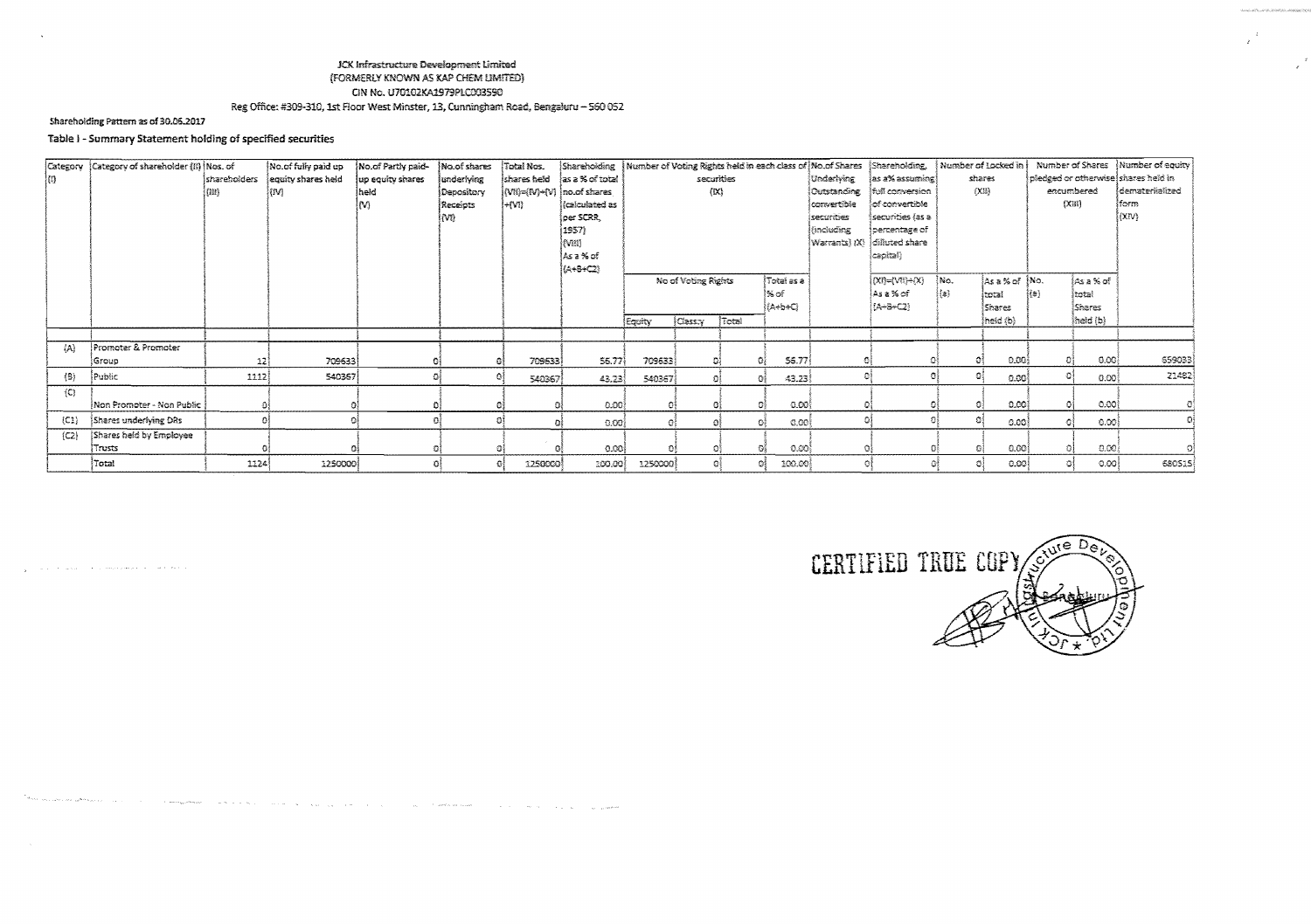## JCK Infrastructure Development Limited (FORMERLY KNOWN AS KAP CHEM LIMITED) CIN No. U70102KA1979PLC003590 Reg Office: #309-310, 1st Floor West Minster, 13, Cunningham Road, Bengaluru - 560 052

## Shareholding Pattern as of 30.06.2017

 $\mathcal{L}_{\mathbf{y}}$  , and the mass of the commutation of the contract of

 $\sim$   $\sim$ 

and the contract of the contract of the contract of the contract of the contract of the contract of the contract of the contract of the contract of the contract of the contract of the contract of the contract of the contra

# Table I - Summary Statement holding of specified securities

|         | Category (Category of shareholder (ii) Mos. of |              | No.of fully paid up | No.of Partly paid- | No.of shares | Total Nos.                 |                              |                     |                 |            |              |              | Shareholding   Number of Voting Rights held in each class of   No.of Shares   Shareholding, |            | Number of Locked in |                                     |                      | Number of Shares   Number of equity |
|---------|------------------------------------------------|--------------|---------------------|--------------------|--------------|----------------------------|------------------------------|---------------------|-----------------|------------|--------------|--------------|---------------------------------------------------------------------------------------------|------------|---------------------|-------------------------------------|----------------------|-------------------------------------|
| 問.      |                                                | shareholders | equity shares held  | up equity shares   | underlying   |                            | shares held las a % of total |                     |                 | securities |              | Underwing    | as a% assuming                                                                              | shares     |                     | pledged or otherwise shares held in |                      |                                     |
|         |                                                | (33)         | (IV)                | held               | Depository   | (Wi)=(W)+(V)  no.of shares |                              |                     |                 | (X)        |              | lOutstanding | ifull conversion                                                                            | <b>(X)</b> |                     | encumbered                          |                      | demateriialized                     |
|         |                                                |              |                     |                    | Receipts     | l÷rvn                      | <i>(calculated as</i>        |                     |                 |            |              | convertible  | of convertible                                                                              |            |                     | (X33)                               |                      | iform                               |
|         |                                                |              |                     |                    | (VI)         |                            | oer SCRR.                    |                     |                 |            |              | securities   | securities (as a                                                                            |            |                     |                                     |                      | lom)                                |
|         |                                                |              |                     |                    |              |                            | 1957)                        |                     |                 |            |              | (including   | (percentage of                                                                              |            |                     |                                     |                      |                                     |
|         |                                                |              |                     |                    |              |                            | (Viii)                       |                     |                 |            |              |              | $ Warrants\rangle$ $ X\rangle$ $ dilh$ rted share                                           |            |                     |                                     |                      |                                     |
|         |                                                |              |                     |                    |              |                            | )As⊇‰c€                      |                     |                 |            |              |              | capital}-                                                                                   |            |                     |                                     |                      |                                     |
|         |                                                |              |                     |                    |              |                            | (A+B+C2)                     |                     |                 |            | Fotal as a   |              |                                                                                             | Mo.        |                     |                                     |                      |                                     |
|         |                                                |              |                     |                    |              |                            |                              | No of Voting Rights |                 |            | l% of        |              | $(\mathsf{X})=\mathsf{W}(\mathsf{X})$<br>∫Asa%of                                            | {{a}       | As a % of No.       | 报酬                                  | jas a % of<br>İtatal |                                     |
|         |                                                |              |                     |                    |              |                            |                              |                     |                 |            | i{A÷b÷Ci     |              | (!A+B+C2)                                                                                   |            | itotal<br>l Shares  |                                     | <i><b>Shares</b></i> |                                     |
|         |                                                |              |                     |                    |              |                            |                              | Equity              | <b>Class:</b> Y | Total      |              |              |                                                                                             |            | [heat(b)]           |                                     | $ $ heid (b) $ $     |                                     |
|         |                                                |              |                     |                    |              |                            |                              |                     |                 |            |              |              |                                                                                             |            |                     |                                     |                      |                                     |
| $\{A\}$ | Promoter & Promoter                            |              |                     |                    |              |                            |                              |                     |                 |            |              |              |                                                                                             |            |                     |                                     |                      |                                     |
|         | (Group                                         | 12)          | 709633              |                    |              | 709633                     | 55.77                        | 709633              |                 |            | 56.77        |              |                                                                                             |            | 0.00                |                                     | [0.00]               | 659033                              |
| $\{8\}$ | Public                                         | 1112         | 540367              |                    |              | 540367                     | 43.23                        | 540367              |                 |            | 43.23        |              |                                                                                             |            | 0.00                |                                     | 0.00                 | 21482                               |
| (C)     |                                                |              |                     |                    |              |                            |                              |                     |                 |            |              |              |                                                                                             |            |                     |                                     |                      |                                     |
|         | Mon Promoter - Non Public                      |              |                     |                    |              |                            | 0.00                         |                     |                 |            | 0.00         |              |                                                                                             |            | 0.00                |                                     | -0.00]               |                                     |
| (C1)    | Shares underlying DRs                          |              |                     |                    |              |                            | $0.00\}$                     | Ð                   |                 | 43         | 0.00<br>-01  |              | ۵l                                                                                          |            | -0.00               |                                     | 0.001                |                                     |
| (C2)    | Shares held by Employee                        |              |                     |                    |              |                            |                              |                     |                 |            |              |              |                                                                                             |            |                     |                                     |                      |                                     |
|         | Trusts                                         |              |                     |                    |              |                            | -0.00 l                      | O                   |                 |            | 0.00         |              |                                                                                             |            | 0.00                |                                     | 0.00                 |                                     |
|         | Total                                          | 1124         | 1250000             |                    |              | 1250000                    | 200.00                       | 1250000             |                 | o          | 100.00<br>O. |              |                                                                                             |            | 0.001               | O.                                  | 0.001                | 680515                              |

المعصور الوادي والأوالي والمتعارف والمتعادة والمستعملة والمتعارف

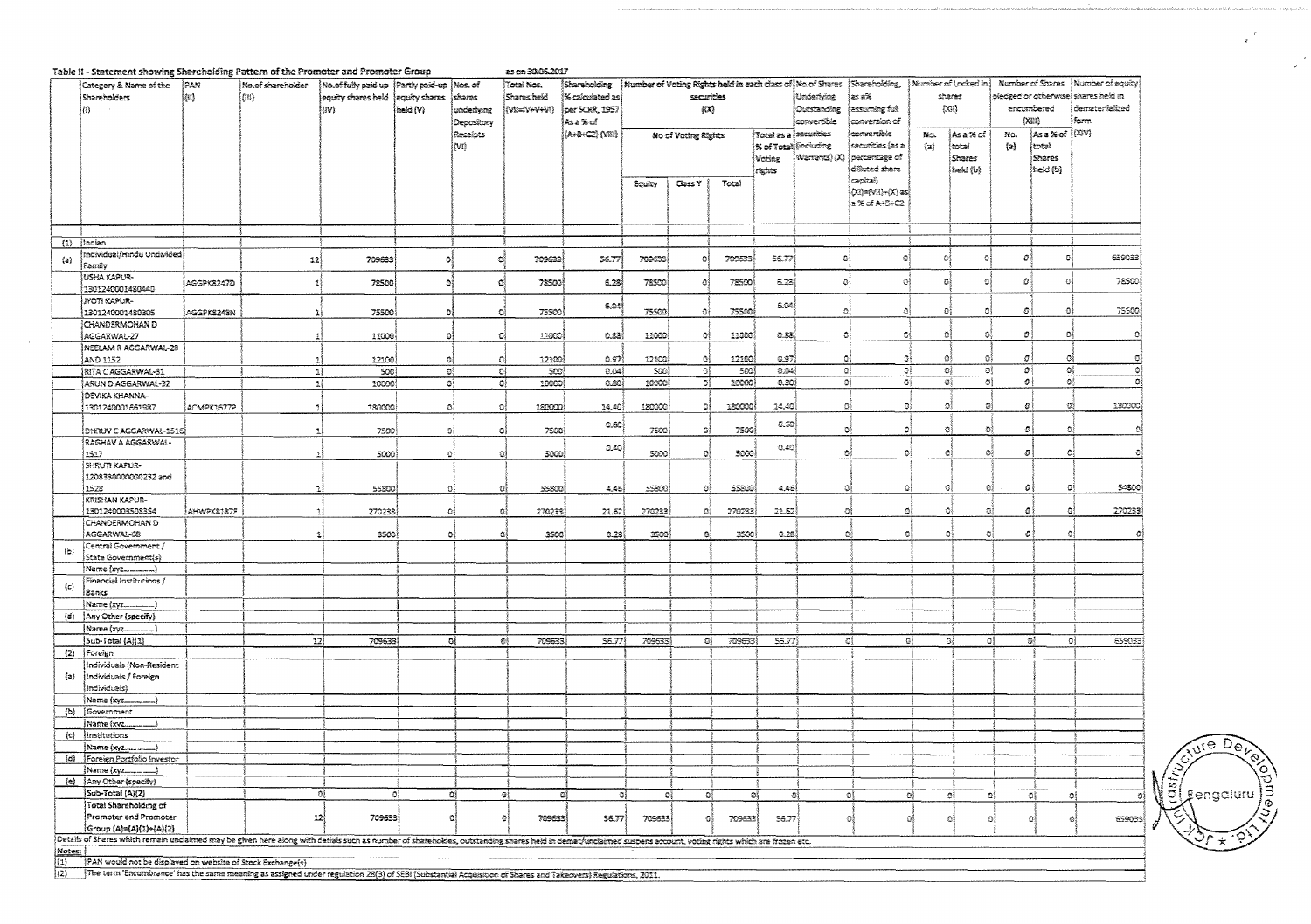|         | Table II - Statement showing Shareholding Pattern of the Promoter and Promoter Group                                                                                                                        |            |                   |                                               |                        |                         | as on 30.05.2017       |                 |                                                                            |               |         |                       |              |                               |                         |                        |                                     |              |                                      |        |
|---------|-------------------------------------------------------------------------------------------------------------------------------------------------------------------------------------------------------------|------------|-------------------|-----------------------------------------------|------------------------|-------------------------|------------------------|-----------------|----------------------------------------------------------------------------|---------------|---------|-----------------------|--------------|-------------------------------|-------------------------|------------------------|-------------------------------------|--------------|--------------------------------------|--------|
|         | Category & Name of the                                                                                                                                                                                      | 1PAN       | No.of shareholder | No of fully paid up (Partly paid-up   Nos. of |                        |                         | Total Nos.             | Shareholding    | Mumber of Voting Rights held in each class of No.of Sharas   Shareholding, |               |         |                       |              |                               | : Number of Locked in I |                        |                                     |              | Number of Shares   Number of equity) |        |
|         | Shareholders                                                                                                                                                                                                | 彻)         | (10)              | equity shares held                            | equity shares          | shares                  | Shares held            | % calculated as |                                                                            | securities    |         |                       | Underlying   | ∤జక జ%                        |                         | shares                 | pledged or otherwise shares held in |              |                                      |        |
|         | $\left\{ n\right\}$                                                                                                                                                                                         |            |                   | (IV)                                          | held (V)               | underlying              | (VB=IV+V+VI)           | per SCRR, 1957  |                                                                            | {IX}          |         |                       | Outstanding  | kut nainuzzsi                 |                         | CON                    |                                     | encembered   | demateriialized                      |        |
|         |                                                                                                                                                                                                             |            |                   |                                               |                        | Depository              |                        | ీAs≥‰cf         |                                                                            |               |         |                       | convertible. | conversion of                 |                         |                        |                                     | (XHI)        | form                                 |        |
|         |                                                                                                                                                                                                             |            |                   |                                               |                        | Receipts                |                        | (A+8+C2) (VIII) | Total as a securities<br>No of Voting Rights                               |               |         |                       | convertible  | No.<br>jAsa% of               |                         |                        | As a % of [(XIV)                    |              |                                      |        |
|         |                                                                                                                                                                                                             |            |                   |                                               |                        | (M)                     |                        |                 |                                                                            |               |         | % of Total (including |              | securities (as a              | $\{a\}$                 | total                  | (a)                                 | total        |                                      |        |
|         |                                                                                                                                                                                                             |            |                   |                                               |                        |                         |                        |                 |                                                                            |               |         | Voting                |              | (Warrants) (X) [percentage of |                         | Shares                 |                                     | Shares       |                                      |        |
|         |                                                                                                                                                                                                             |            |                   |                                               |                        |                         |                        |                 |                                                                            |               |         | raghts                |              | dilluted share                |                         | {held {b}              |                                     | (held (b)    |                                      |        |
|         |                                                                                                                                                                                                             |            |                   |                                               |                        |                         |                        |                 | Equity                                                                     | <b>Cass Y</b> | Total   |                       |              | (capital)                     |                         |                        |                                     |              |                                      |        |
|         |                                                                                                                                                                                                             |            |                   |                                               |                        |                         |                        |                 |                                                                            |               |         |                       |              | Ott)=(VR)+(X) as              |                         |                        |                                     |              |                                      |        |
|         |                                                                                                                                                                                                             |            |                   |                                               |                        |                         |                        |                 |                                                                            |               |         |                       |              | ja% of A÷8+C2.                |                         |                        |                                     |              |                                      |        |
|         |                                                                                                                                                                                                             |            |                   |                                               |                        |                         |                        |                 |                                                                            |               |         |                       |              |                               |                         |                        |                                     |              |                                      |        |
|         |                                                                                                                                                                                                             |            |                   |                                               |                        |                         |                        |                 |                                                                            |               |         |                       |              |                               |                         |                        |                                     |              |                                      |        |
|         | $(1)$ [Indian                                                                                                                                                                                               |            |                   |                                               |                        |                         |                        |                 |                                                                            |               |         |                       |              |                               |                         |                        |                                     |              |                                      |        |
|         | Individual/Hindu Undivided                                                                                                                                                                                  |            |                   |                                               |                        |                         |                        |                 |                                                                            |               |         |                       | $\hat{a}$    |                               |                         | Ō.                     | O)                                  | Đ,           |                                      | 659033 |
| (a)     | Family                                                                                                                                                                                                      |            | 12                | 709633                                        | $\alpha$               | C.                      | 709633                 | 56.77           | 709633                                                                     | O             | 709633  | 56.77                 |              | ø                             | 져                       |                        |                                     |              |                                      |        |
|         | USHA KAPUR-                                                                                                                                                                                                 |            |                   |                                               |                        |                         |                        |                 |                                                                            |               |         |                       |              |                               |                         |                        |                                     |              |                                      | 78500  |
|         | 1301240001480440                                                                                                                                                                                            | AGGPK8247D |                   | 72500                                         | Đ,                     | $\mathbb{C}^1_2$        | 72500                  | 6.28            | 78500                                                                      | ø             | 72500   | 6.28                  | $\circ$      | 0)                            | Đį                      | 쉌                      | o.                                  |              |                                      |        |
|         | <b>JYOTI KAPUR-</b>                                                                                                                                                                                         |            |                   |                                               |                        |                         |                        |                 |                                                                            |               |         |                       |              |                               |                         |                        |                                     |              |                                      |        |
|         | 1301240001480305                                                                                                                                                                                            | AGGPKS243N | 11                | 75500                                         | D.                     | ч                       | 75500                  | 6.04            | 75500                                                                      | ٥ł            | 75500   | SO4                   | O.           | -91                           | Đ,                      | Đ                      | Đ)                                  | ٥            |                                      | 75500  |
|         | CHANDERMOHAN D                                                                                                                                                                                              |            |                   |                                               |                        |                         |                        |                 |                                                                            |               |         |                       |              |                               |                         |                        |                                     |              |                                      |        |
|         | AGGARWAL-27                                                                                                                                                                                                 |            | 11                | 11000                                         | -OI                    | 10                      | 11000                  | 0.82)           | 11000                                                                      | Юl            | 11000   | 0.38                  | ۵į           | 群                             | -61                     | ೀ                      | Đ)                                  | Ð            |                                      | ۵ĵ     |
|         | NEELAM R AGGARWAL-28                                                                                                                                                                                        |            |                   |                                               |                        |                         |                        |                 |                                                                            |               |         |                       |              |                               |                         |                        |                                     |              |                                      |        |
|         | AND 1152                                                                                                                                                                                                    |            |                   | 12100                                         | G                      | C.                      | 12100                  | 0.97            | 12100                                                                      | 0             | 12100   | 6.97)                 | O.           | Зł                            | $\circ$                 | ି                      | O.                                  | ٥            |                                      | O,     |
|         | RITA CAGGARWAL-31                                                                                                                                                                                           |            | 뇌                 | 500                                           | $\mathbf{Q}^{\dagger}$ | $\overline{\mathbb{C}}$ | 500                    | 0.04            | SOO)                                                                       | G,            | 500     | 0.04                  |              | O}<br>O,                      |                         | $\mathbb{G}_2^3$<br>O) | ٥Î                                  | G)           |                                      | oj     |
|         | ARUN D AGGARWAL-32                                                                                                                                                                                          |            | $\mathbf{1}$      | 10000                                         | O,                     | 碍                       | 10000                  | 0.80            | 10000                                                                      | Đ             | 10000   | 0.301                 |              | ٥Į<br>-139                    |                         | οł<br>٥ì               | $\mathcal{O}\}$                     | ٥ł           |                                      | ō      |
|         | DEVIKA KHANNA-                                                                                                                                                                                              |            |                   |                                               |                        |                         |                        |                 |                                                                            |               |         |                       |              |                               |                         |                        |                                     |              |                                      |        |
|         | 1301240001651987                                                                                                                                                                                            | ACMPK1677P |                   | 180000                                        | $\Omega_1^2$           | -13                     | 180000                 | 34.40           | 180000                                                                     | ۵ŝ            | 180000  | 24,40                 | O.           | OÎ.                           |                         | ĐÎ<br>۵l               | ø1                                  | ٥ŧ           |                                      | 130000 |
|         |                                                                                                                                                                                                             |            |                   |                                               |                        |                         |                        |                 |                                                                            |               |         |                       |              |                               |                         |                        |                                     |              |                                      |        |
|         | DHRUV C AGGARWAL-1516                                                                                                                                                                                       |            | ΔJ                | 7500                                          | ٥l                     | O,                      | 7500                   | 0.60            | 7500                                                                       | ٥l            | 7500    | ರಿ.ಕ್ಯಾ               | G            | o.                            |                         | ĐĮ<br>-23              | ø                                   | Đ.           |                                      |        |
|         | RAGHAV A AGGARWAL-                                                                                                                                                                                          |            |                   |                                               |                        |                         |                        |                 |                                                                            |               |         |                       |              |                               |                         |                        |                                     |              |                                      |        |
|         | 1517                                                                                                                                                                                                        |            | Ŧ.                | 5000                                          |                        | o)<br>୍ଷା               | 5000                   | 0.40)           | 5000                                                                       | Đ.            | 5000    | [0.40]                | Ð            | ٥ł                            |                         | -01<br>٥ł              | $\pmb{\sigma}$                      | ٥i           |                                      | ٥      |
|         | SHRUTI KAPUR-                                                                                                                                                                                               |            |                   |                                               |                        |                         |                        |                 |                                                                            |               |         |                       |              |                               |                         |                        |                                     |              |                                      |        |
|         | 1208330000000232 and                                                                                                                                                                                        |            |                   |                                               |                        |                         |                        |                 |                                                                            |               |         |                       |              |                               |                         |                        |                                     |              |                                      |        |
|         | 1528                                                                                                                                                                                                        |            |                   | 55800                                         | Đ.                     | οį                      | 55800                  | 4,45}           | 55800                                                                      | Đ,            | 55800   | 4,48                  | $\phi$       |                               | ol                      | - SI<br>٥l             | $\mathcal{O}$                       | ٥i           |                                      | 54900  |
|         | KRISHAN KAPUR-                                                                                                                                                                                              |            |                   |                                               |                        |                         |                        |                 |                                                                            |               |         |                       |              |                               |                         |                        |                                     |              |                                      |        |
|         | 1301240003508354                                                                                                                                                                                            | AHWFK8187F | 1                 | 270233                                        |                        | ٥ł<br>Đ.                | 270233                 | 21.62           | 270233                                                                     | O)            | 270233  | 21.52                 |              | ٥Ì                            | ol                      | Ó<br>σį                | o                                   | оl           |                                      | 270233 |
|         | CHANDERMOHAN D                                                                                                                                                                                              |            |                   |                                               |                        |                         |                        |                 |                                                                            |               |         |                       |              |                               |                         |                        |                                     |              |                                      |        |
|         | AGGARWAL-68                                                                                                                                                                                                 |            | 1                 | 3500                                          | Φł                     | -G.                     | 5500                   | 0.23            | 3500                                                                       | $^{12}$       | 3500    | 0.23                  |              | G)<br>Øŝ                      |                         | G<br>Đ.                | $\pmb{\mathcal{G}}$                 | -01          |                                      |        |
| $\{b\}$ | Central Government /                                                                                                                                                                                        |            |                   |                                               |                        |                         |                        |                 |                                                                            |               |         |                       |              |                               |                         |                        |                                     |              |                                      |        |
|         | State Government(s)                                                                                                                                                                                         |            |                   |                                               |                        |                         |                        |                 |                                                                            |               |         |                       |              |                               |                         |                        |                                     |              |                                      |        |
|         | Name {xyz                                                                                                                                                                                                   |            |                   |                                               |                        |                         |                        |                 |                                                                            |               |         |                       |              |                               |                         |                        |                                     |              |                                      |        |
| (c)     | Financial Institutions /                                                                                                                                                                                    |            |                   |                                               |                        |                         |                        |                 |                                                                            |               |         |                       |              |                               |                         |                        |                                     |              |                                      |        |
|         | Banks                                                                                                                                                                                                       |            |                   |                                               |                        |                         |                        |                 |                                                                            |               |         |                       |              |                               |                         |                        |                                     |              |                                      |        |
|         | Name (xyz                                                                                                                                                                                                   |            |                   |                                               |                        |                         |                        |                 |                                                                            |               |         |                       |              |                               |                         |                        |                                     |              |                                      |        |
|         | (d) Any Other (specify)                                                                                                                                                                                     |            |                   |                                               |                        |                         |                        |                 |                                                                            |               |         |                       |              |                               |                         |                        |                                     |              |                                      |        |
|         | Name (xyz)                                                                                                                                                                                                  |            |                   |                                               |                        |                         |                        |                 |                                                                            |               |         |                       |              |                               |                         |                        |                                     |              |                                      |        |
|         | Sub-Total (A)(1)                                                                                                                                                                                            |            | 12)               | 709633                                        |                        | ĐĮ                      | O)<br>709633           | S6.77           | 709633                                                                     | 9į            | 709633) | <b>S6.77</b>          |              | ٥į                            | O)                      | O)<br>٥Į               |                                     | аţ           | σį                                   | 559033 |
|         | (2) Foreign                                                                                                                                                                                                 |            |                   |                                               |                        |                         |                        |                 |                                                                            |               |         |                       |              |                               |                         |                        |                                     |              |                                      |        |
|         | Individuals (Non-Resident                                                                                                                                                                                   |            |                   |                                               |                        |                         |                        |                 |                                                                            |               |         |                       |              |                               |                         |                        |                                     |              |                                      |        |
| (a)     | Individuais / Foreign                                                                                                                                                                                       |            |                   |                                               |                        |                         |                        |                 |                                                                            |               |         |                       |              |                               |                         |                        |                                     |              |                                      |        |
|         | (adividuals                                                                                                                                                                                                 |            |                   |                                               |                        |                         |                        |                 |                                                                            |               |         |                       |              |                               |                         |                        |                                     |              |                                      |        |
|         | Name (xyz_                                                                                                                                                                                                  |            |                   |                                               |                        |                         |                        |                 |                                                                            |               |         |                       |              |                               |                         |                        |                                     |              |                                      |        |
| (b)     | Government                                                                                                                                                                                                  |            |                   |                                               |                        |                         |                        |                 |                                                                            |               |         |                       |              |                               |                         |                        |                                     |              |                                      |        |
|         |                                                                                                                                                                                                             |            |                   |                                               |                        |                         |                        |                 |                                                                            |               |         |                       |              |                               |                         |                        |                                     |              |                                      |        |
| $\{c\}$ | Institutions                                                                                                                                                                                                |            |                   |                                               |                        |                         |                        |                 |                                                                            |               |         |                       |              |                               |                         |                        |                                     |              |                                      |        |
|         |                                                                                                                                                                                                             |            |                   |                                               |                        |                         |                        |                 |                                                                            |               |         |                       |              |                               |                         |                        |                                     |              |                                      |        |
| (c)     | Foreign Portfolio Investor                                                                                                                                                                                  |            |                   |                                               |                        |                         |                        |                 |                                                                            |               |         |                       |              |                               |                         |                        |                                     |              |                                      |        |
|         | Name (xyz______)                                                                                                                                                                                            |            |                   |                                               |                        |                         |                        |                 |                                                                            |               |         |                       |              |                               |                         |                        |                                     |              |                                      |        |
|         | (e) {Any Other (specify)                                                                                                                                                                                    |            |                   |                                               |                        |                         |                        |                 |                                                                            |               |         |                       |              |                               |                         |                        |                                     |              |                                      |        |
|         | Sub-Total (A)(2)                                                                                                                                                                                            |            |                   | - O                                           | ٥ł                     | ٥Į                      | $\omega_{\rm i}$<br>Đ) | ್ಯ              | o)                                                                         | ଖ             |         | Đ,                    | 적            | ٥Į                            | $\{s\}$                 | Q)                     | O,                                  | ٥î           | ol.                                  | g)     |
|         | Total Shareholding of                                                                                                                                                                                       |            |                   |                                               |                        |                         |                        |                 |                                                                            |               |         |                       |              |                               |                         |                        |                                     |              |                                      |        |
|         | Promoter and Promoter                                                                                                                                                                                       |            | 12                | 709633                                        |                        | a<br><b>Ed</b>          | 709633                 | 56.77           | 709533                                                                     | 64            | 709633  | 56.77                 |              | 컉                             | 의                       | -93                    | -0                                  | $\mathbf{C}$ | -93                                  | 659033 |
|         | Group (A)=(A)(1)+(A)(2)                                                                                                                                                                                     |            |                   |                                               |                        |                         |                        |                 |                                                                            |               |         |                       |              |                               |                         |                        |                                     |              |                                      |        |
|         | Details of Shares which remain undaimed may be given here along with detials such as number of shareholdes, outstanding shares held in demat/unclaimed suspens account, voting rights which are frozen etc. |            |                   |                                               |                        |                         |                        |                 |                                                                            |               |         |                       |              |                               |                         |                        |                                     |              |                                      |        |
| Notes:  |                                                                                                                                                                                                             |            |                   |                                               |                        |                         |                        |                 |                                                                            |               |         |                       |              |                               |                         |                        |                                     |              |                                      |        |
| (1)     | PAN would not be displayed on website of Stock Exchange(s)                                                                                                                                                  |            |                   |                                               |                        |                         |                        |                 |                                                                            |               |         |                       |              |                               |                         |                        |                                     |              |                                      |        |

(e Da  $rac{1}{\sqrt{2}}$ gengaluru 3

 $\mathbf{r}$ 

[2] The term 'Encumbrance' has the same meaning as assigned under regulation 28(3) of SEBI (Substantial Acquisition of Shares and Takeovers) Regulations, 2011.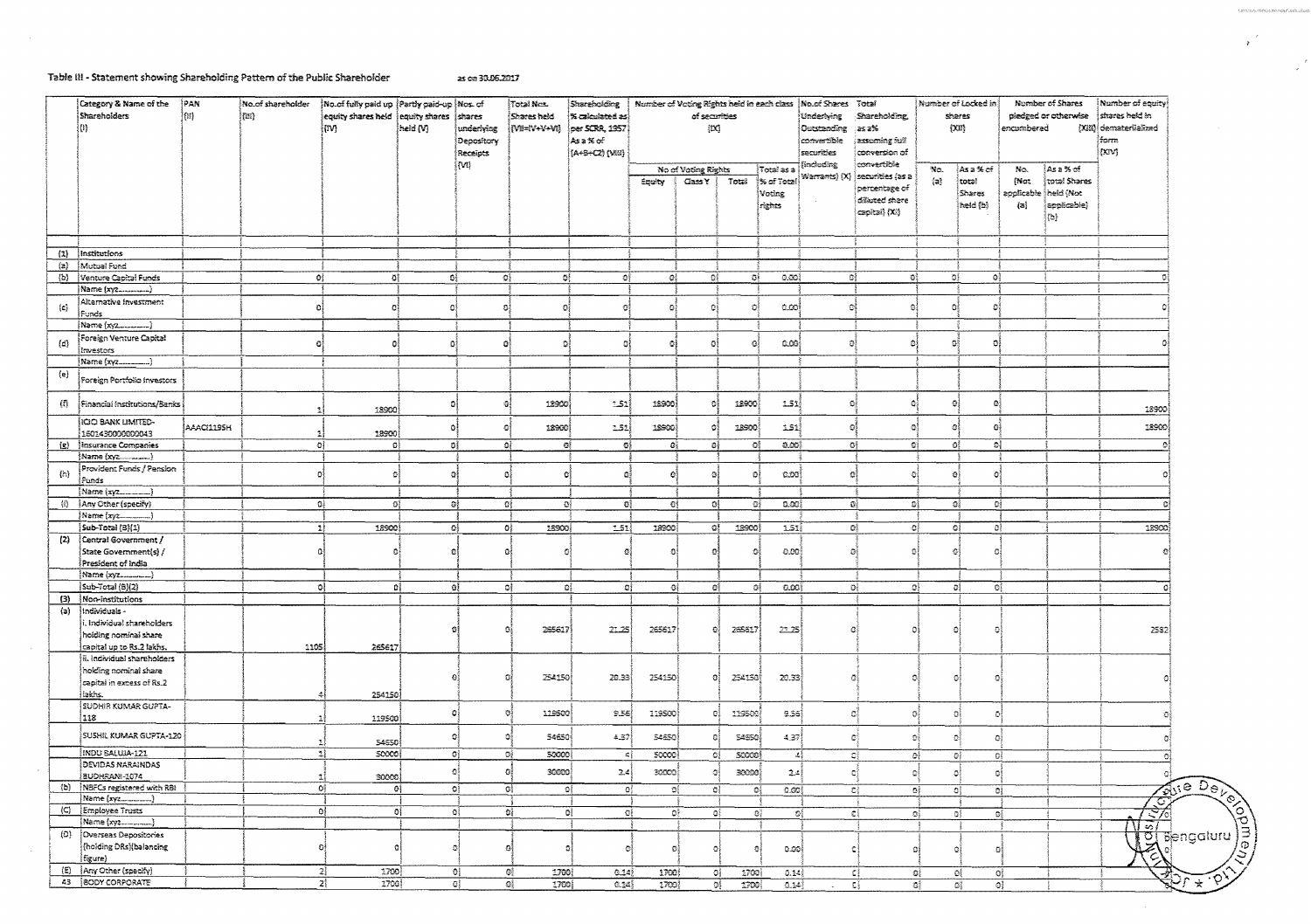### Table III - Statement showing Shareholding Pattern of the Public Shareholder as on 30.06.2017

|                    | Category & Name of the<br>Shareholders<br>т        | РАН<br>団          | No.of shareholder<br>(184) | No of fully paid up (Partly paid-up (Nos. of<br>equity shares held equity shares shares<br>(IV) | held (V) | underlying             | Total Nex.<br>Shares held<br>[W=V+V+Vi] | Shareholding<br>% calculated as)<br>per SCRR, 1957 | Number of Voting Rights held in each class | of securities<br>{IX}       |              |                                | No.of Shares Total<br>Underlying<br>Outstanding as a% | Shareholding,                                                        | Number of Locked in<br>shares<br>[300] |                             | Number of Shares<br>pledged or otherwise<br>encumbered |                                                           | Number of equity<br>shares held in<br>[XIII] demateriialized |
|--------------------|----------------------------------------------------|-------------------|----------------------------|-------------------------------------------------------------------------------------------------|----------|------------------------|-----------------------------------------|----------------------------------------------------|--------------------------------------------|-----------------------------|--------------|--------------------------------|-------------------------------------------------------|----------------------------------------------------------------------|----------------------------------------|-----------------------------|--------------------------------------------------------|-----------------------------------------------------------|--------------------------------------------------------------|
|                    |                                                    |                   |                            |                                                                                                 |          | Depository<br>Receipts |                                         | Asa%e€<br>((А+5+С2) (М2)                           |                                            |                             |              |                                | convertible<br>securities                             | asseming full<br>conversion of                                       |                                        |                             |                                                        |                                                           | form<br>(rav)                                                |
|                    |                                                    |                   |                            |                                                                                                 |          | (M)                    |                                         |                                                    |                                            | No of Voting Rights         |              | ∤Tota≀asa                      | aniboding)                                            | convertible                                                          | No.                                    | ¦Asa%r of                   | No.                                                    | }∆క౩%ో                                                    |                                                              |
|                    |                                                    |                   |                            |                                                                                                 |          |                        |                                         |                                                    | Equity                                     | Cass Y                      | Total        | % of Total<br>Voting<br>rights | Warrants) (X)                                         | securities (as a<br>percentage of<br>dilluted share<br>capital) (XI) | $\{a\}$                                | total<br>Shares<br>heid (b) | (Not<br>$\{a\}$                                        | total Shares<br>applicable theid (Not<br>applicable)<br>拋 |                                                              |
|                    |                                                    |                   |                            |                                                                                                 |          |                        |                                         |                                                    |                                            |                             |              |                                |                                                       |                                                                      |                                        |                             |                                                        |                                                           |                                                              |
|                    | (1) Institutions                                   |                   |                            |                                                                                                 |          |                        |                                         |                                                    |                                            |                             |              |                                |                                                       |                                                                      |                                        |                             |                                                        |                                                           |                                                              |
| $\{a\}$            | Mutual Fund                                        |                   |                            |                                                                                                 |          |                        |                                         |                                                    |                                            |                             |              |                                |                                                       |                                                                      |                                        |                             |                                                        |                                                           |                                                              |
|                    | (b) Venture Capital Funds                          |                   | O}                         | ĐÌ.                                                                                             | ĐÎ       | ĐÎ                     | ₫ł                                      | 群                                                  | $\mathbb{C}^1_3$                           | -G)                         | - Of         | 0.001                          |                                                       | O)                                                                   | ್ಯ                                     | ai.                         | -ei                                                    |                                                           |                                                              |
|                    | Name (xyz)                                         |                   |                            |                                                                                                 |          |                        |                                         |                                                    |                                            |                             |              |                                |                                                       |                                                                      |                                        |                             |                                                        |                                                           |                                                              |
| (c)                | Alternative Investment.<br>Funds                   |                   | οi                         | 이                                                                                               | ٥        | 이                      | O                                       | O.                                                 | Đ)                                         | Đ,                          | O            | 0.00                           | G.                                                    | Đ,                                                                   |                                        | G.                          | -81                                                    |                                                           |                                                              |
|                    | Name (xyz<br>}                                     |                   |                            |                                                                                                 |          |                        |                                         |                                                    |                                            |                             |              |                                |                                                       |                                                                      |                                        |                             |                                                        |                                                           |                                                              |
| $\left( d \right)$ | Foreign Venture Capital<br>Investors               |                   | Ð                          | o.                                                                                              |          | O                      | G.                                      | -oj                                                | O)                                         | эĮ                          | Ō            | 0.00                           |                                                       | 이                                                                    |                                        | ō                           | O                                                      |                                                           |                                                              |
|                    | Name (xγz)                                         |                   |                            |                                                                                                 |          |                        |                                         |                                                    |                                            |                             |              |                                |                                                       |                                                                      |                                        |                             |                                                        |                                                           |                                                              |
| {e}                | Foreign Portfolio Investors                        |                   |                            |                                                                                                 |          |                        |                                         |                                                    |                                            |                             |              |                                |                                                       |                                                                      |                                        |                             |                                                        |                                                           |                                                              |
| 伯。                 | Financial Institutions/Banks                       |                   |                            | 18900                                                                                           | ٥l       | -93                    | 12900                                   | 1.51                                               | 18900                                      | ٥Î                          | 18900        | 1.51                           | $\mathbb{G}$                                          | $\mathcal{L}$                                                        |                                        | Øį                          | Đ.                                                     |                                                           | 18900                                                        |
|                    | <b>IGO BANK LIMITED-</b>                           | <b>AAACI1195H</b> |                            |                                                                                                 | $\Omega$ | Đ                      | 18900                                   | 151)                                               | 18900)                                     | G.                          | 18900        | 1.51                           | O                                                     | $\sigma$                                                             |                                        | e                           | Đ,                                                     |                                                           | 18900                                                        |
|                    | 1601430000000043                                   |                   |                            | 18900                                                                                           |          |                        |                                         |                                                    |                                            |                             |              |                                |                                                       |                                                                      | $\mathbf{G}^{\mathcal{S}}$             | ĐÎ                          |                                                        |                                                           | $\Delta$                                                     |
| $\{g\}$            | Insurance Companies                                |                   |                            | O <sub>1</sub><br>-oj                                                                           | οļ       | -ta)                   | -GĮ                                     | -oj                                                | -a)                                        | ٥Î                          | Đ,           | 0.00                           |                                                       | $\mathbf{O}^3_2$                                                     |                                        |                             | ol.                                                    |                                                           |                                                              |
|                    | Name (xyz_______)<br>Provident Funds / Pension     |                   |                            |                                                                                                 |          |                        |                                         |                                                    |                                            |                             |              |                                |                                                       |                                                                      |                                        |                             |                                                        |                                                           |                                                              |
| $\{2.5\}$          | Funds                                              |                   | Ð                          | Đ.                                                                                              | л        | Đ.                     | $+2$                                    | -oj                                                | O.                                         | $\Omega$                    | ø            | 0.00                           | $\sigma$                                              |                                                                      | ō                                      | -a1                         | Đ,                                                     |                                                           |                                                              |
|                    | Name (xyz)                                         |                   |                            |                                                                                                 |          |                        |                                         |                                                    |                                            |                             |              |                                |                                                       |                                                                      |                                        |                             |                                                        |                                                           |                                                              |
| 稻                  | Any Other (specify)                                |                   |                            | 다<br>οļ                                                                                         | -DŽ      |                        | ΩÍ<br>ĐÎ                                | - GŞ                                               | ĐÌ                                         | ĐÎ                          | -BŞ          | ೂಂಚ                            |                                                       | QÎ.                                                                  | ರಿಕ                                    | - OŠ                        | Οĝ                                                     |                                                           |                                                              |
|                    | (Name (xyz                                         |                   |                            | -11                                                                                             | 碍        |                        | 18900                                   |                                                    | 18900                                      | $\mathbb{Q}^{\mathbb{Z}}_2$ | 18900        | 1.51                           |                                                       |                                                                      | $\Omega_2^2$                           |                             | οł                                                     |                                                           | 18900                                                        |
| (2)                | Sub-Total (B) 1)<br>Central Government /           |                   |                            | 18900                                                                                           |          | -Oğ                    |                                         | 2.51                                               |                                            |                             |              |                                |                                                       | ĐÌ                                                                   |                                        | ĐÌ                          |                                                        |                                                           |                                                              |
|                    | State Government(s) /                              |                   |                            | Ō.                                                                                              | ø        | $\Omega$               | n                                       | $\Omega$                                           | $\Omega$                                   | $\mathbf{C}$                | Ð            | 0.00                           |                                                       | Đ.                                                                   | Ō                                      | $\mathbb{S}^{\mathbb{Z}}$   | O                                                      |                                                           | Ø.                                                           |
|                    | President of India                                 |                   |                            |                                                                                                 |          |                        |                                         |                                                    |                                            |                             |              |                                |                                                       |                                                                      |                                        |                             |                                                        |                                                           |                                                              |
|                    | {Name (xyz)<br>Sub-Total (B)(2)                    |                   |                            | ol                                                                                              | B        |                        |                                         | øį                                                 |                                            | oł.                         |              | 0.00                           |                                                       |                                                                      | оî                                     |                             |                                                        |                                                           | ٥                                                            |
| (3)                | Non-institutions                                   |                   |                            |                                                                                                 |          | OI.                    | σł                                      | -61                                                | ₫ł                                         |                             | 의            |                                |                                                       | o∤.                                                                  |                                        | D)                          | ĐÎ.                                                    |                                                           |                                                              |
| (a)                | Individuals -                                      |                   |                            |                                                                                                 |          |                        |                                         |                                                    |                                            |                             |              |                                |                                                       |                                                                      |                                        |                             |                                                        |                                                           |                                                              |
|                    | Individual shareholders                            |                   |                            |                                                                                                 |          |                        | 295617                                  | 22.25                                              | 265617                                     | Ð                           | 265617       | 22.75                          |                                                       | 公                                                                    | Ω                                      | Ð                           | a                                                      |                                                           | 2582                                                         |
|                    | hoiding nominai share<br>capital up to Rs.2 lakhs. |                   | 1105                       |                                                                                                 |          |                        |                                         |                                                    |                                            |                             |              |                                |                                                       |                                                                      |                                        |                             |                                                        |                                                           |                                                              |
|                    | ii. Individual shareholders                        |                   |                            | 265617                                                                                          |          |                        |                                         |                                                    |                                            |                             |              |                                |                                                       |                                                                      |                                        |                             |                                                        |                                                           |                                                              |
|                    | holding nominal share                              |                   |                            |                                                                                                 |          |                        |                                         |                                                    |                                            |                             |              |                                |                                                       |                                                                      |                                        |                             |                                                        |                                                           |                                                              |
|                    | capital in excess of Rs.2                          |                   |                            |                                                                                                 |          | ß                      | 254150                                  | 20.33                                              | 254150                                     | O.                          | 254150       | 20.33                          |                                                       | ā                                                                    | $\mathbf{n}$                           |                             | Ð                                                      |                                                           |                                                              |
|                    | lakhs.                                             |                   |                            | 254150                                                                                          |          |                        |                                         |                                                    |                                            |                             |              |                                |                                                       |                                                                      |                                        |                             |                                                        |                                                           |                                                              |
|                    | SUDHIR KUMAR GUPTA-                                |                   |                            |                                                                                                 |          |                        |                                         |                                                    |                                            |                             |              |                                |                                                       |                                                                      |                                        |                             |                                                        |                                                           |                                                              |
|                    | 118                                                |                   |                            | 119500                                                                                          | ۰        | Ð                      | 119500                                  | 9.55                                               | 119500                                     | oi                          | 119500       | 9.55                           |                                                       | C)                                                                   | Ð.                                     | -aļ                         | -e)                                                    |                                                           |                                                              |
|                    | SUSHIL KUMAR GUPTA-120                             |                   |                            | 54550                                                                                           |          |                        | 54650<br>G                              | 4.37                                               | 54650                                      | G.                          | 54650        | 4.37                           |                                                       | Ċ.                                                                   | ۵ł                                     | O.                          | ٥ŝ                                                     |                                                           |                                                              |
|                    | indu Baluia-121                                    |                   |                            | 최<br>50000                                                                                      |          | $\sigma$               | OÎ.<br>50000                            | $\rightarrow$                                      | 50000                                      |                             | OĮ.<br>50000 |                                | $-3$                                                  | C)                                                                   | ٥ł                                     | Đ≬                          | оì                                                     |                                                           | ÐÌ                                                           |
|                    | DEVIDAS NARAINDAS                                  |                   |                            |                                                                                                 |          |                        |                                         |                                                    |                                            |                             |              |                                |                                                       |                                                                      |                                        |                             |                                                        |                                                           |                                                              |
|                    | <b>BUDHRANS-1074</b>                               |                   |                            | 30000                                                                                           |          |                        | o<br>30000                              | 2.4                                                | 30000                                      | Q.                          | 30000        | 2.43                           |                                                       | Đ.                                                                   | $\Omega$                               |                             | Ō.                                                     |                                                           |                                                              |
|                    | (b) NBFCs registered with RBI                      |                   |                            | ٥į                                                                                              | 0ĺ       | ĐÌ                     | G)                                      | 야                                                  | $\mathbf{G}_3^2$<br>図                      |                             | o)<br>ೀ      | 0.00                           |                                                       | €Ĵ                                                                   | 都                                      | ĐÎ.                         | Oŝ.                                                    |                                                           | Zdie Deve                                                    |
|                    | Name (xyz_______)                                  |                   |                            |                                                                                                 |          |                        |                                         |                                                    |                                            |                             |              |                                |                                                       |                                                                      |                                        |                             |                                                        |                                                           | स्त्र                                                        |
|                    | (C) Employee Trusts                                |                   |                            | 0ļ                                                                                              | ØÎ.      | ōì.                    | 다                                       | $\mathbf{0}$<br>-433                               | -88                                        |                             | oš,          | ₫.                             | $\mathcal{D}^{\mathbb{R}}_{\mathbb{R}}$               | $\mathbb{C}^2$                                                       | $\sigma$                               | $a_1^*$                     | ٥Į                                                     |                                                           |                                                              |
|                    | Name (xyz                                          |                   |                            |                                                                                                 |          |                        |                                         |                                                    |                                            |                             |              |                                |                                                       |                                                                      |                                        |                             |                                                        |                                                           | $\sqrt{5}$                                                   |
| (D)                | Overseas Depositories<br>(holding DRs) balancing   |                   |                            | $\Omega$<br>n                                                                                   |          | n<br>ÐI                |                                         | O                                                  | $\circ$                                    | ٥l                          |              | 0.00                           |                                                       | ċ                                                                    | $\Omega$                               | -9}                         | ٥ł                                                     |                                                           | <b>Tengaturu</b><br>्र                                       |
|                    | figure)                                            |                   |                            |                                                                                                 |          |                        |                                         |                                                    |                                            |                             |              |                                |                                                       |                                                                      |                                        |                             |                                                        |                                                           |                                                              |
|                    | (E)   Any Other (specify)                          |                   |                            | 1700<br>21                                                                                      |          | 0ļ                     | 1700)<br>Gį                             | 0.14                                               | 1700                                       |                             | -Gğ<br>1700  | 0.14                           |                                                       | εį                                                                   | ₿ĝ                                     | ٥Į                          | O}                                                     |                                                           | 金头                                                           |
|                    | 43  BODY CORPORATE                                 |                   |                            | $2\frac{1}{2}$<br>1708                                                                          |          | G,                     | GÎ,<br>1700                             | 0.34\$                                             | 1700                                       |                             | 鵶<br>1700    | 0.14                           |                                                       | εĭ                                                                   | 發                                      | Ōŝ.                         | -ol                                                    |                                                           |                                                              |

 $\frac{1}{2}$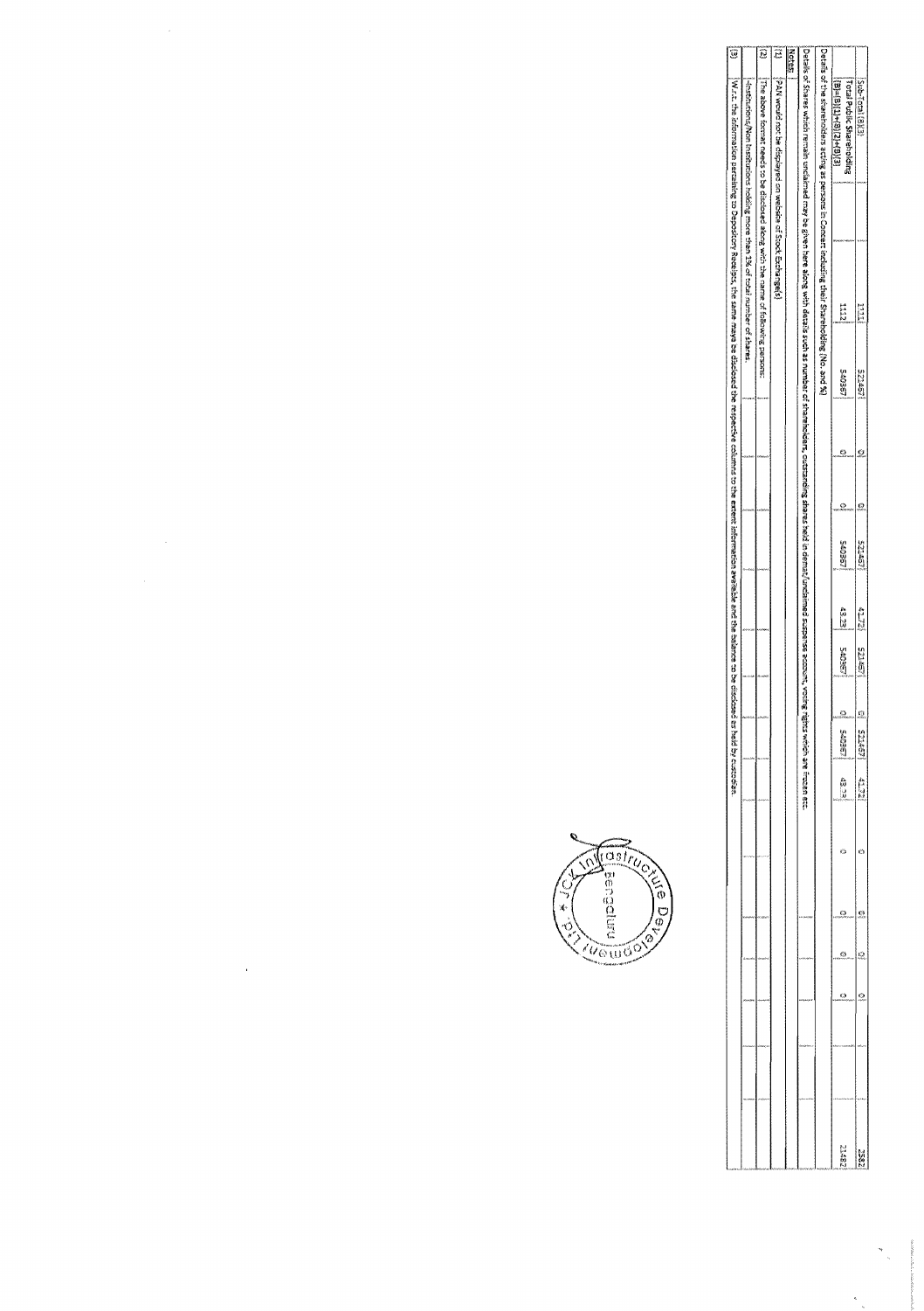| Ö                                                                                                                                                                                                               |                                                                             | Ö                                                                                         | ē                                                                                   | <b>Notes:</b> |                                                                                                                                                                                                                                |                                                                                                    |                                                             |                        |
|-----------------------------------------------------------------------------------------------------------------------------------------------------------------------------------------------------------------|-----------------------------------------------------------------------------|-------------------------------------------------------------------------------------------|-------------------------------------------------------------------------------------|---------------|--------------------------------------------------------------------------------------------------------------------------------------------------------------------------------------------------------------------------------|----------------------------------------------------------------------------------------------------|-------------------------------------------------------------|------------------------|
| With the information parceiving to Depository Receipts, the same may a respected columns to the moths of comparison available and the comparison available and the disclosed as being the disclosed as $\kappa$ | Hesturions/Won kestitutions bobbing moon than 1% of total number of shares. | $\bar{N}$ re above format needs to be disclosed aborg with the name of following persons: | (AA) washareek and the distance of Stock Exchange is the contract of Stock Exchange |               | . Petals of Shares which remain may be given here abref here with secure in the shares shares shares shares shares shares shares about the street scopense accreat, work are expect to the street secure the street shares are | Petals of the shareholders ecting as persons in Concert including their Stareholding (No. and Si). | <b>Total Public Shareholding</b><br>$(2)(3)+(2)(9)+(3)(3)=$ | <b>Sub-Total (B)(9</b> |
|                                                                                                                                                                                                                 |                                                                             |                                                                                           |                                                                                     |               |                                                                                                                                                                                                                                |                                                                                                    |                                                             |                        |
|                                                                                                                                                                                                                 |                                                                             |                                                                                           |                                                                                     |               |                                                                                                                                                                                                                                |                                                                                                    |                                                             |                        |
|                                                                                                                                                                                                                 |                                                                             |                                                                                           |                                                                                     |               |                                                                                                                                                                                                                                |                                                                                                    | E E                                                         | 11111                  |
|                                                                                                                                                                                                                 |                                                                             |                                                                                           |                                                                                     |               |                                                                                                                                                                                                                                |                                                                                                    | LOEDING                                                     | 107703                 |
|                                                                                                                                                                                                                 |                                                                             |                                                                                           |                                                                                     |               |                                                                                                                                                                                                                                |                                                                                                    |                                                             |                        |
|                                                                                                                                                                                                                 |                                                                             |                                                                                           |                                                                                     |               |                                                                                                                                                                                                                                |                                                                                                    |                                                             |                        |
|                                                                                                                                                                                                                 |                                                                             |                                                                                           |                                                                                     |               |                                                                                                                                                                                                                                |                                                                                                    | <b>LEEDING</b>                                              | 19125                  |
|                                                                                                                                                                                                                 |                                                                             |                                                                                           |                                                                                     |               |                                                                                                                                                                                                                                |                                                                                                    | ii<br>M                                                     | <b>STIP</b>            |
|                                                                                                                                                                                                                 |                                                                             |                                                                                           |                                                                                     |               |                                                                                                                                                                                                                                |                                                                                                    | <b>LEGIS</b>                                                | 525点                   |
|                                                                                                                                                                                                                 |                                                                             |                                                                                           |                                                                                     |               |                                                                                                                                                                                                                                |                                                                                                    |                                                             | C                      |
|                                                                                                                                                                                                                 |                                                                             |                                                                                           |                                                                                     |               |                                                                                                                                                                                                                                |                                                                                                    | 1980%                                                       | <b>S2450</b>           |
|                                                                                                                                                                                                                 |                                                                             |                                                                                           |                                                                                     |               |                                                                                                                                                                                                                                |                                                                                                    | 经过期                                                         | ELTY                   |
|                                                                                                                                                                                                                 |                                                                             |                                                                                           |                                                                                     |               |                                                                                                                                                                                                                                |                                                                                                    |                                                             |                        |
|                                                                                                                                                                                                                 |                                                                             |                                                                                           |                                                                                     |               |                                                                                                                                                                                                                                |                                                                                                    |                                                             | g                      |
|                                                                                                                                                                                                                 |                                                                             |                                                                                           |                                                                                     |               |                                                                                                                                                                                                                                |                                                                                                    |                                                             | 9                      |
|                                                                                                                                                                                                                 |                                                                             |                                                                                           |                                                                                     |               |                                                                                                                                                                                                                                |                                                                                                    |                                                             | 9                      |
|                                                                                                                                                                                                                 |                                                                             |                                                                                           |                                                                                     |               |                                                                                                                                                                                                                                |                                                                                                    |                                                             |                        |
|                                                                                                                                                                                                                 |                                                                             |                                                                                           |                                                                                     |               |                                                                                                                                                                                                                                |                                                                                                    |                                                             |                        |
|                                                                                                                                                                                                                 |                                                                             |                                                                                           |                                                                                     |               |                                                                                                                                                                                                                                |                                                                                                    | 23352                                                       | 2852                   |

 $\label{eq:R1} \begin{aligned} \mathcal{P} &= \mathcal{P} \left( \mathcal{P} \right) \left( \mathcal{P} \right) \left( \mathcal{P} \right) \left( \mathcal{P} \right) \left( \mathcal{P} \right) \left( \mathcal{P} \right) \left( \mathcal{P} \right) \left( \mathcal{P} \right) \left( \mathcal{P} \right) \left( \mathcal{P} \right) \left( \mathcal{P} \right) \left( \mathcal{P} \right) \left( \mathcal{P} \right) \left( \mathcal{P} \right) \left( \mathcal{P} \right) \left( \mathcal{P} \right) \left$ 



 $\label{eq:2} \frac{1}{\sqrt{2}}\left(\frac{1}{\sqrt{2}}\right)^2$ 

 $\label{eq:2.1} \frac{1}{\sqrt{2\pi}}\int_{\mathbb{R}^3}\frac{1}{\sqrt{2\pi}}\int_{\mathbb{R}^3}\frac{1}{\sqrt{2\pi}}\int_{\mathbb{R}^3}\frac{1}{\sqrt{2\pi}}\int_{\mathbb{R}^3}\frac{1}{\sqrt{2\pi}}\int_{\mathbb{R}^3}\frac{1}{\sqrt{2\pi}}\frac{1}{\sqrt{2\pi}}\int_{\mathbb{R}^3}\frac{1}{\sqrt{2\pi}}\frac{1}{\sqrt{2\pi}}\int_{\mathbb{R}^3}\frac{1}{\sqrt{2\pi}}\frac{1}{\sqrt{2\pi}}\frac$